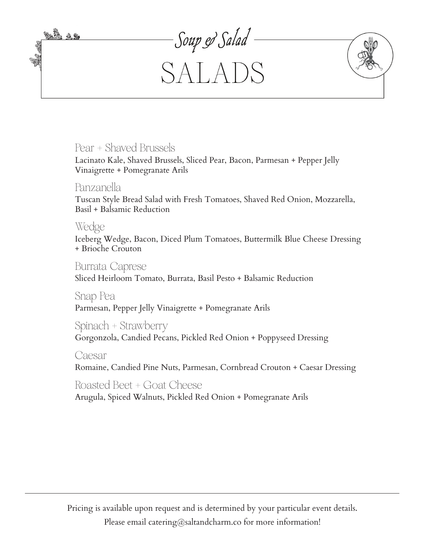

# Pear + Shaved Brussels

Lacinato Kale, Shaved Brussels, Sliced Pear, Bacon, Parmesan + Pepper Jelly Vinaigrette + Pomegranate Arils

# Panzanella

Tuscan Style Bread Salad with Fresh Tomatoes, Shaved Red Onion, Mozzarella, Basil + Balsamic Reduction

### Wedge

Iceberg Wedge, Bacon, Diced Plum Tomatoes, Buttermilk Blue Cheese Dressing + Brioche Crouton

Burrata Caprese Sliced Heirloom Tomato, Burrata, Basil Pesto + Balsamic Reduction

Snap Pea Parmesan, Pepper Jelly Vinaigrette + Pomegranate Arils

Spinach + Strawberry

Gorgonzola, Candied Pecans, Pickled Red Onion + Poppyseed Dressing

#### Caesar

Romaine, Candied Pine Nuts, Parmesan, Cornbread Crouton + Caesar Dressing

# Roasted Beet + Goat Cheese

Arugula, Spiced Walnuts, Pickled Red Onion + Pomegranate Arils